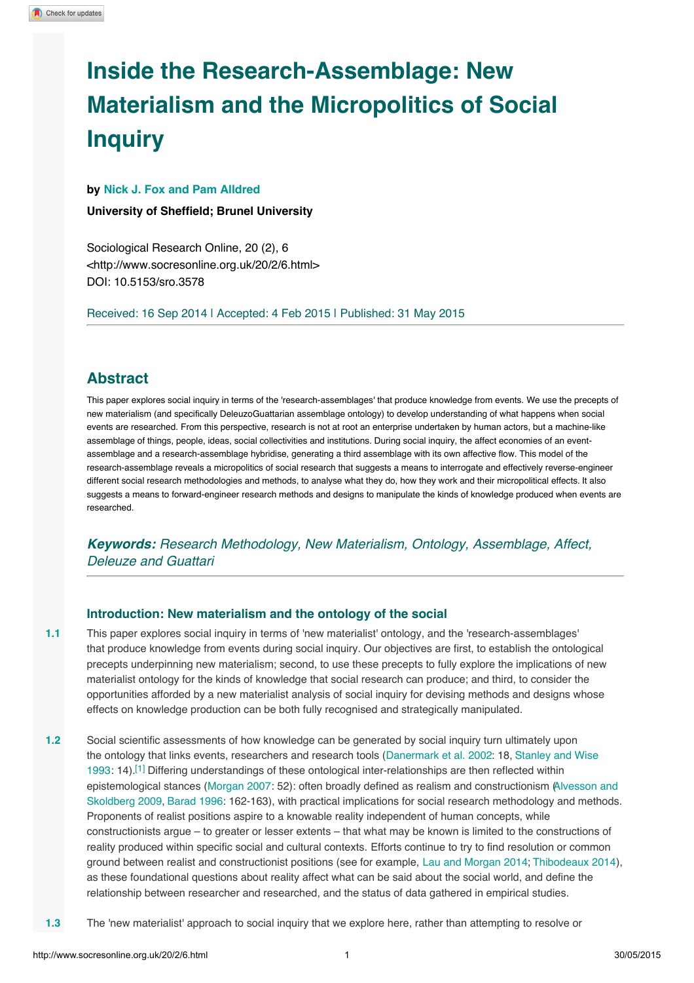# **Inside the Research-Assemblage: New Materialism and the Micropolitics of Social Inquiry**

#### **by Nick J. Fox and Pam [Alldred](http://www.socresonline.org.uk/20/2/6/fox.html)**

## **University of Sheffield; Brunel University**

Sociological Research Online, 20 (2), 6 <http://www.socresonline.org.uk/20/2/6.html> DOI: 10.5153/sro.3578

Received: 16 Sep 2014 | Accepted: 4 Feb 2015 | Published: 31 May 2015

# **Abstract**

This paper explores social inquiry in terms of the 'research-assemblages' that produce knowledge from events. We use the precepts of new materialism (and specifically DeleuzoGuattarian assemblage ontology) to develop understanding of what happens when social events are researched. From this perspective, research is not at root an enterprise undertaken by human actors, but a machine-like assemblage of things, people, ideas, social collectivities and institutions. During social inquiry, the affect economies of an eventassemblage and a research-assemblage hybridise, generating a third assemblage with its own affective flow. This model of the research-assemblage reveals a micropolitics of social research that suggests a means to interrogate and effectively reverse-engineer different social research methodologies and methods, to analyse what they do, how they work and their micropolitical effects. It also suggests a means to forward-engineer research methods and designs to manipulate the kinds of knowledge produced when events are researched.

## **Keywords:** Research Methodology, New Materialism, Ontology, Assemblage, Affect, Deleuze and Guattari

#### **Introduction: New materialism and the ontology of the social**

- **1.1** This paper explores social inquiry in terms of 'new materialist' ontology, and the 'research-assemblages' that produce knowledge from events during social inquiry. Our objectives are first, to establish the ontological precepts underpinning new materialism; second, to use these precepts to fully explore the implications of new materialist ontology for the kinds of knowledge that social research can produce; and third, to consider the opportunities afforded by a new materialist analysis of social inquiry for devising methods and designs whose effects on knowledge production can be both fully recognised and strategically manipulated.
- **1.2** Social scientific assessments of how knowledge can be generated by social inquiry turn ultimately upon the ontology that links events, researchers and research tools ([Danermark](#page-17-0) et al. 2002: 18, Stanley and Wise 1993: 14).<sup>[1]</sup> Differing understandings of these ontological [inter-relationships](#page-18-0) are then reflected within epistemological stances ([Morgan](#page-18-1) 2007: 52): often broadly defined as realism and [constructionism](#page-16-0) (Alvesson and Skoldberg 2009, [Barad](#page-16-1) 1996: 162-163), with practical implications for social research methodology and methods. Proponents of realist positions aspire to a knowable reality independent of human concepts, while constructionists argue – to greater or lesser extents – that what may be known is limited to the constructions of reality produced within specific social and cultural contexts. Efforts continue to try to find resolution or common ground between realist and constructionist positions (see for example, Lau and [Morgan](#page-17-1) 2014; [Thibodeaux](#page-18-2) 2014), as these foundational questions about reality affect what can be said about the social world, and define the relationship between researcher and researched, and the status of data gathered in empirical studies.
- **1.3** The 'new materialist' approach to social inquiry that we explore here, rather than attempting to resolve or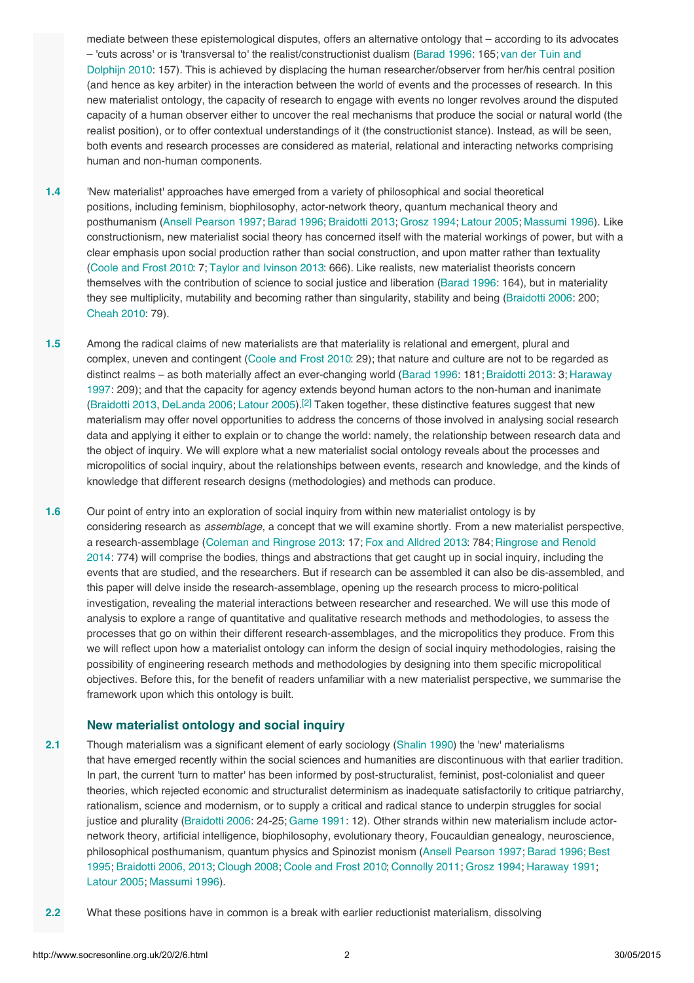mediate between these epistemological disputes, offers an alternative ontology that – according to its advocates – 'cuts across' or is 'transversal to' the [realist/constructionist](#page-18-3) dualism [\(Barad](#page-16-1) 1996: 165;van der Tuin and Dolphijn 2010: 157). This is achieved by displacing the human researcher/observer from her/his central position (and hence as key arbiter) in the interaction between the world of events and the processes of research. In this new materialist ontology, the capacity of research to engage with events no longer revolves around the disputed capacity of a human observer either to uncover the real mechanisms that produce the social or natural world (the realist position), or to offer contextual understandings of it (the constructionist stance). Instead, as will be seen, both events and research processes are considered as material, relational and interacting networks comprising human and non-human components.

- **1.4** 'New materialist' approaches have emerged from a variety of philosophical and social theoretical positions, including feminism, biophilosophy, actor-network theory, quantum mechanical theory and posthumanism (Ansell [Pearson](#page-16-2) 1997; [Barad](#page-16-1) 1996; [Braidotti](#page-16-3) 2013; [Grosz](#page-17-2) 1994; [Latour](#page-17-3) 2005; [Massumi](#page-18-4) 1996). Like constructionism, new materialist social theory has concerned itself with the material workings of power, but with a clear emphasis upon social production rather than social construction, and upon matter rather than textuality [\(Coole](#page-17-4) and Frost 2010: 7; Taylor and [Ivinson](#page-18-5) 2013: 666). Like realists, new materialist theorists concern themselves with the contribution of science to social justice and liberation ([Barad](#page-16-1) 1996: 164), but in materiality they see multiplicity, mutability and becoming rather than singularity, stability and being [\(Braidotti](#page-16-4) 2006: 200; [Cheah](#page-17-5) 2010: 79).
- **1.5** Among the radical claims of new materialists are that materiality is relational and emergent, plural and complex, uneven and contingent ([Coole](#page-17-4) and Frost 2010: 29); that nature and culture are not to be regarded as distinct realms – as both materially affect an [ever-changing](#page-17-6) world [\(Barad](#page-16-1) 1996: 181; [Braidotti](#page-16-3) 2013: 3; Haraway 1997: 209); and that the capacity for agency extends beyond human actors to the non-human and inanimate [\(Braidotti](#page-16-3) 2013, [DeLanda](#page-17-7) 2006; [Latour](#page-17-3) 2005).<sup>[\[2\]](#page-16-5)</sup> Taken together, these distinctive features suggest that new materialism may offer novel opportunities to address the concerns of those involved in analysing social research data and applying it either to explain or to change the world: namely, the relationship between research data and the object of inquiry. We will explore what a new materialist social ontology reveals about the processes and micropolitics of social inquiry, about the relationships between events, research and knowledge, and the kinds of knowledge that different research designs (methodologies) and methods can produce.
- **1.6** Our point of entry into an exploration of social inquiry from within new materialist ontology is by considering research as assemblage, a concept that we will examine shortly. From a new materialist perspective, a [research-assemblage](#page-18-6) [\(Coleman](#page-17-8) and Ringrose 2013: 17; Fox and [Alldred](#page-17-9) 2013: 784; Ringrose and Renold 2014: 774) will comprise the bodies, things and abstractions that get caught up in social inquiry, including the events that are studied, and the researchers. But if research can be assembled it can also be dis-assembled, and this paper will delve inside the research-assemblage, opening up the research process to micro-political investigation, revealing the material interactions between researcher and researched. We will use this mode of analysis to explore a range of quantitative and qualitative research methods and methodologies, to assess the processes that go on within their different research-assemblages, and the micropolitics they produce. From this we will reflect upon how a materialist ontology can inform the design of social inquiry methodologies, raising the possibility of engineering research methods and methodologies by designing into them specific micropolitical objectives. Before this, for the benefit of readers unfamiliar with a new materialist perspective, we summarise the framework upon which this ontology is built.

## **New materialist ontology and social inquiry**

- **2.1** Though materialism was a significant element of early sociology [\(Shalin](#page-18-7) 1990) the 'new' materialisms that have emerged recently within the social sciences and humanities are discontinuous with that earlier tradition. In part, the current 'turn to matter' has been informed by post-structuralist, feminist, post-colonialist and queer theories, which rejected economic and structuralist determinism as inadequate satisfactorily to critique patriarchy, rationalism, science and modernism, or to supply a critical and radical stance to underpin struggles for social justice and plurality [\(Braidotti](#page-16-4) 2006: 24-25; [Game](#page-17-10) 1991: 12). Other strands within new materialism include actornetwork theory, artificial intelligence, biophilosophy, evolutionary theory, Foucauldian genealogy, neuroscience, philosophical [posthumanism,](#page-16-6) quantum physics and Spinozist monism (Ansell [Pearson](#page-16-2) 1997; [Barad](#page-16-1) 1996; Best 1995; [Braidotti](#page-16-4) 2006, 2013; [Clough](#page-17-11) 2008; [Coole](#page-17-4) and Frost 2010; [Connolly](#page-17-12) 2011; [Grosz](#page-17-2) 1994; [Haraway](#page-17-13) 1991; [Latour](#page-17-3) 2005; [Massumi](#page-18-4) 1996).
- **2.2** What these positions have in common is a break with earlier reductionist materialism, dissolving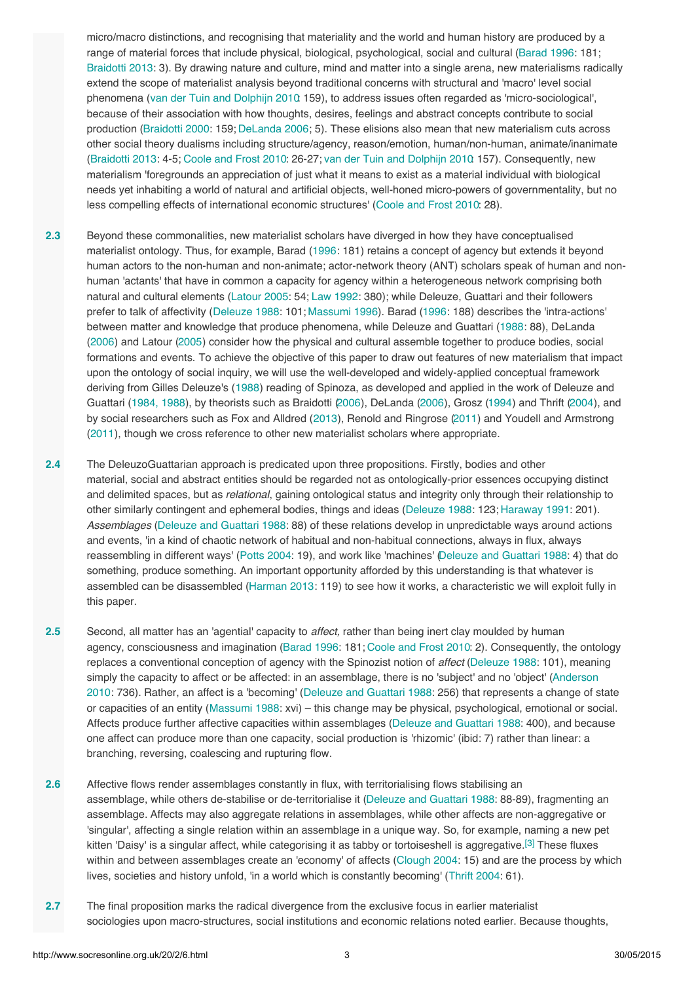micro/macro distinctions, and recognising that materiality and the world and human history are produced by a range of material forces that include physical, biological, psychological, social and cultural [\(Barad](#page-16-1) 1996: 181; [Braidotti](#page-16-3) 2013: 3). By drawing nature and culture, mind and matter into a single arena, new materialisms radically extend the scope of materialist analysis beyond traditional concerns with structural and 'macro' level social phenomena (van der Tuin and [Dolphijn](#page-18-3) 2010: 159), to address issues often regarded as 'micro-sociological', because of their association with how thoughts, desires, feelings and abstract concepts contribute to social production [\(Braidotti](#page-16-7) 2000: 159; [DeLanda](#page-17-7) 2006; 5). These elisions also mean that new materialism cuts across other social theory dualisms including structure/agency, reason/emotion, human/non-human, animate/inanimate [\(Braidotti](#page-16-3) 2013: 4-5; [Coole](#page-17-4) and Frost 2010: 26-27; van der Tuin and [Dolphijn](#page-18-3) 2010: 157). Consequently, new materialism 'foregrounds an appreciation of just what it means to exist as a material individual with biological needs yet inhabiting a world of natural and artificial objects, well-honed micro-powers of governmentality, but no less compelling effects of international economic structures' [\(Coole](#page-17-4) and Frost 2010: 28).

- **2.3** Beyond these commonalities, new materialist scholars have diverged in how they have conceptualised materialist ontology. Thus, for example, Barad [\(1996](#page-16-1): 181) retains a concept of agency but extends it beyond human actors to the non-human and non-animate; actor-network theory (ANT) scholars speak of human and nonhuman 'actants' that have in common a capacity for agency within a heterogeneous network comprising both natural and cultural elements [\(Latour](#page-17-3) 2005: 54; Law [1992](#page-18-8): 380); while Deleuze, Guattari and their followers prefer to talk of affectivity [\(Deleuze](#page-17-14) 1988: 101; [Massumi](#page-18-4) 1996). Barad [\(1996](#page-16-1): 188) describes the 'intra-actions' between matter and knowledge that produce phenomena, while Deleuze and Guattari [\(1988](#page-17-15): 88), DeLanda [\(2006](#page-17-7)) and Latour [\(2005](#page-17-3)) consider how the physical and cultural assemble together to produce bodies, social formations and events. To achieve the objective of this paper to draw out features of new materialism that impact upon the ontology of social inquiry, we will use the well-developed and widely-applied conceptual framework deriving from Gilles Deleuze's [\(1988](#page-17-14)) reading of Spinoza, as developed and applied in the work of Deleuze and Guattari ([1984,](#page-17-16) 1988), by theorists such as Braidotti [\(2006](#page-16-4)), DeLanda [\(2006](#page-17-7)), Grosz [\(1994](#page-17-2)) and Thrift [\(2004](#page-18-9)), and by social researchers such as Fox and Alldred [\(2013](#page-17-9)), Renold and Ringrose [\(2011](#page-18-10)) and Youdell and Armstrong [\(2011](#page-18-11)), though we cross reference to other new materialist scholars where appropriate.
- **2.4** The DeleuzoGuattarian approach is predicated upon three propositions. Firstly, bodies and other material, social and abstract entities should be regarded not as ontologically-prior essences occupying distinct and delimited spaces, but as relational, gaining ontological status and integrity only through their relationship to other similarly contingent and ephemeral bodies, things and ideas [\(Deleuze](#page-17-14) 1988: 123; [Haraway](#page-17-13) 1991: 201). Assemblages [\(Deleuze](#page-17-14) and Guattari 1988: 88) of these relations develop in unpredictable ways around actions and events, 'in a kind of chaotic network of habitual and non-habitual connections, always in flux, always reassembling in different ways' [\(Potts](#page-18-12) 2004: 19), and work like 'machines' [\(Deleuze](#page-17-14) and Guattari 1988: 4) that do something, produce something. An important opportunity afforded by this understanding is that whatever is assembled can be disassembled [\(Harman](#page-17-17) 2013: 119) to see how it works, a characteristic we will exploit fully in this paper.
- **2.5** Second, all matter has an 'agential' capacity to affect, rather than being inert clay moulded by human agency, consciousness and imagination [\(Barad](#page-16-1) 1996: 181; [Coole](#page-17-4) and Frost 2010: 2). Consequently, the ontology replaces a conventional conception of agency with the Spinozist notion of affect [\(Deleuze](#page-17-14) 1988: 101), meaning simply the capacity to affect or be affected: in an [assemblage,](#page-16-8) there is no 'subject' and no 'object' (Anderson 2010: 736). Rather, an affect is a 'becoming' [\(Deleuze](#page-17-14) and Guattari 1988: 256) that represents a change of state or capacities of an entity [\(Massumi](#page-18-13) 1988: xvi) – this change may be physical, psychological, emotional or social. Affects produce further affective capacities within assemblages [\(Deleuze](#page-17-14) and Guattari 1988: 400), and because one affect can produce more than one capacity, social production is 'rhizomic' (ibid: 7) rather than linear: a branching, reversing, coalescing and rupturing flow.
- **2.6** Affective flows render assemblages constantly in flux, with territorialising flows stabilising an assemblage, while others de-stabilise or de-territorialise it [\(Deleuze](#page-17-14) and Guattari 1988: 88-89), fragmenting an assemblage. Affects may also aggregate relations in assemblages, while other affects are non-aggregative or 'singular', affecting a single relation within an assemblage in a unique way. So, for example, naming a new pet kitten 'Daisy' is a singular affect, while categorising it as tabby or tortoiseshell is aggregative.<sup>[\[3\]](#page-16-9)</sup> These fluxes within and between assemblages create an 'economy' of affects [\(Clough](#page-17-18) 2004: 15) and are the process by which lives, societies and history unfold, 'in a world which is constantly becoming' [\(Thrift](#page-18-9) 2004: 61).
- **2.7** The final proposition marks the radical divergence from the exclusive focus in earlier materialist sociologies upon macro-structures, social institutions and economic relations noted earlier. Because thoughts,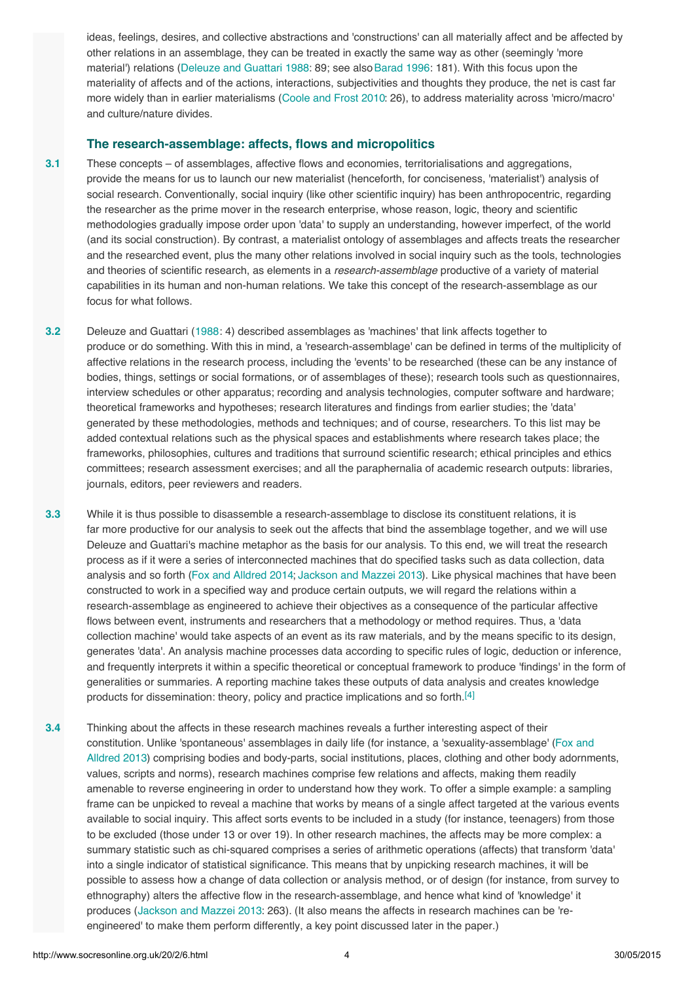ideas, feelings, desires, and collective abstractions and 'constructions' can all materially affect and be affected by other relations in an assemblage, they can be treated in exactly the same way as other (seemingly 'more material') relations ([Deleuze](#page-17-14) and Guattari 1988: 89; see also [Barad](#page-16-1) 1996: 181). With this focus upon the materiality of affects and of the actions, interactions, subjectivities and thoughts they produce, the net is cast far more widely than in earlier materialisms [\(Coole](#page-17-4) and Frost 2010: 26), to address materiality across 'micro/macro' and culture/nature divides.

#### **The research-assemblage: affects, flows and micropolitics**

- **3.1** These concepts – of assemblages, affective flows and economies, territorialisations and aggregations, provide the means for us to launch our new materialist (henceforth, for conciseness, 'materialist') analysis of social research. Conventionally, social inquiry (like other scientific inquiry) has been anthropocentric, regarding the researcher as the prime mover in the research enterprise, whose reason, logic, theory and scientific methodologies gradually impose order upon 'data' to supply an understanding, however imperfect, of the world (and its social construction). By contrast, a materialist ontology of assemblages and affects treats the researcher and the researched event, plus the many other relations involved in social inquiry such as the tools, technologies and theories of scientific research, as elements in a research-assemblage productive of a variety of material capabilities in its human and non-human relations. We take this concept of the research-assemblage as our focus for what follows.
- **3.2** Deleuze and Guattari [\(1988](#page-17-15): 4) described assemblages as 'machines' that link affects together to produce or do something. With this in mind, a 'research-assemblage' can be defined in terms of the multiplicity of affective relations in the research process, including the 'events' to be researched (these can be any instance of bodies, things, settings or social formations, or of assemblages of these); research tools such as questionnaires, interview schedules or other apparatus; recording and analysis technologies, computer software and hardware; theoretical frameworks and hypotheses; research literatures and findings from earlier studies; the 'data' generated by these methodologies, methods and techniques; and of course, researchers. To this list may be added contextual relations such as the physical spaces and establishments where research takes place; the frameworks, philosophies, cultures and traditions that surround scientific research; ethical principles and ethics committees; research assessment exercises; and all the paraphernalia of academic research outputs: libraries, journals, editors, peer reviewers and readers.
- **3.3** While it is thus possible to disassemble a research-assemblage to disclose its constituent relations, it is far more productive for our analysis to seek out the affects that bind the assemblage together, and we will use Deleuze and Guattari's machine metaphor as the basis for our analysis. To this end, we will treat the research process as if it were a series of interconnected machines that do specified tasks such as data collection, data analysis and so forth (Fox and [Alldred](#page-17-19) 2014; [Jackson](#page-17-20) and Mazzei 2013). Like physical machines that have been constructed to work in a specified way and produce certain outputs, we will regard the relations within a research-assemblage as engineered to achieve their objectives as a consequence of the particular affective flows between event, instruments and researchers that a methodology or method requires. Thus, a 'data collection machine' would take aspects of an event as its raw materials, and by the means specific to its design, generates 'data'. An analysis machine processes data according to specific rules of logic, deduction or inference, and frequently interprets it within a specific theoretical or conceptual framework to produce 'findings' in the form of generalities or summaries. A reporting machine takes these outputs of data analysis and creates knowledge products for dissemination: theory, policy and practice implications and so forth.<sup>[\[4\]](#page-16-10)</sup>
- **3.4** Thinking about the affects in these research machines reveals a further interesting aspect of their constitution. Unlike 'spontaneous' assemblages in daily life (for instance, a ['sexuality-assemblage'](#page-17-9) (Fox and Alldred 2013) comprising bodies and body-parts, social institutions, places, clothing and other body adornments, values, scripts and norms), research machines comprise few relations and affects, making them readily amenable to reverse engineering in order to understand how they work. To offer a simple example: a sampling frame can be unpicked to reveal a machine that works by means of a single affect targeted at the various events available to social inquiry. This affect sorts events to be included in a study (for instance, teenagers) from those to be excluded (those under 13 or over 19). In other research machines, the affects may be more complex: a summary statistic such as chi-squared comprises a series of arithmetic operations (affects) that transform 'data' into a single indicator of statistical significance. This means that by unpicking research machines, it will be possible to assess how a change of data collection or analysis method, or of design (for instance, from survey to ethnography) alters the affective flow in the research-assemblage, and hence what kind of 'knowledge' it produces ([Jackson](#page-17-20) and Mazzei 2013: 263). (It also means the affects in research machines can be 'reengineered' to make them perform differently, a key point discussed later in the paper.)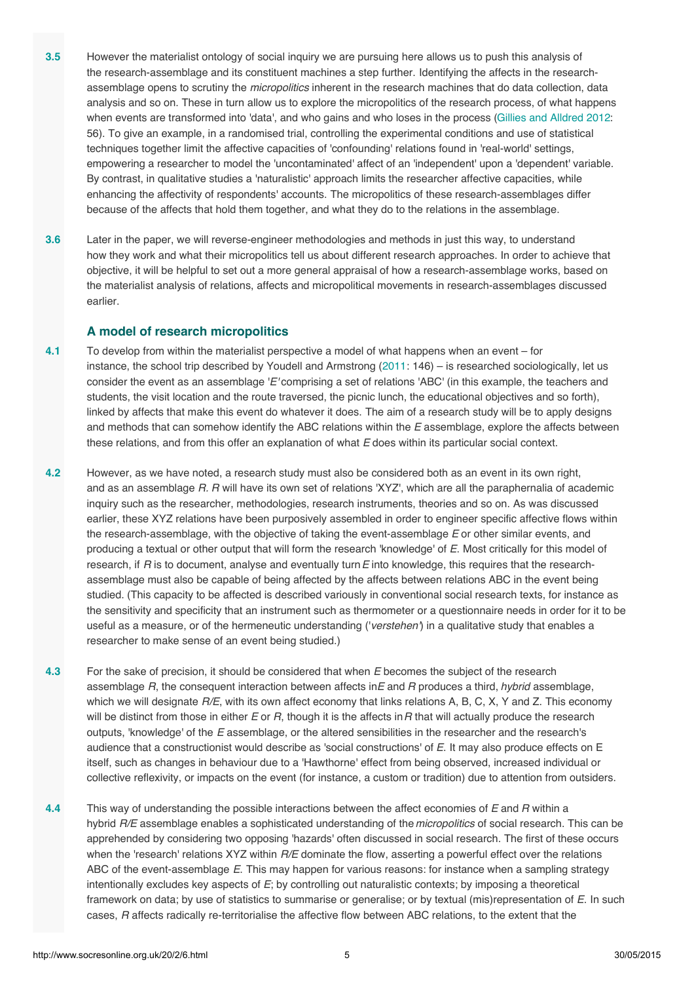- **3.5** However the materialist ontology of social inquiry we are pursuing here allows us to push this analysis of the research-assemblage and its constituent machines a step further. Identifying the affects in the researchassemblage opens to scrutiny the *micropolitics* inherent in the research machines that do data collection, data analysis and so on. These in turn allow us to explore the micropolitics of the research process, of what happens when events are transformed into 'data', and who gains and who loses in the process (Gillies and [Alldred](#page-17-21) 2012: 56). To give an example, in a randomised trial, controlling the experimental conditions and use of statistical techniques together limit the affective capacities of 'confounding' relations found in 'real-world' settings, empowering a researcher to model the 'uncontaminated' affect of an 'independent' upon a 'dependent' variable. By contrast, in qualitative studies a 'naturalistic' approach limits the researcher affective capacities, while enhancing the affectivity of respondents' accounts. The micropolitics of these research-assemblages differ because of the affects that hold them together, and what they do to the relations in the assemblage.
- **3.6** Later in the paper, we will reverse-engineer methodologies and methods in just this way, to understand how they work and what their micropolitics tell us about different research approaches. In order to achieve that objective, it will be helpful to set out a more general appraisal of how a research-assemblage works, based on the materialist analysis of relations, affects and micropolitical movements in research-assemblages discussed earlier.

#### **A model of research micropolitics**

- **4.1** To develop from within the materialist perspective a model of what happens when an event – for instance, the school trip described by Youdell and Armstrong ([2011](#page-18-11): 146) – is researched sociologically, let us consider the event as an assemblage 'E' comprising a set of relations 'ABC' (in this example, the teachers and students, the visit location and the route traversed, the picnic lunch, the educational objectives and so forth), linked by affects that make this event do whatever it does. The aim of a research study will be to apply designs and methods that can somehow identify the ABC relations within the  $E$  assemblage, explore the affects between these relations, and from this offer an explanation of what E does within its particular social context.
- **4.2** However, as we have noted, a research study must also be considered both as an event in its own right, and as an assemblage R. R will have its own set of relations 'XYZ', which are all the paraphernalia of academic inquiry such as the researcher, methodologies, research instruments, theories and so on. As was discussed earlier, these XYZ relations have been purposively assembled in order to engineer specific affective flows within the research-assemblage, with the objective of taking the event-assemblage  $E$  or other similar events, and producing a textual or other output that will form the research 'knowledge' of E. Most critically for this model of research, if  $R$  is to document, analyse and eventually turn  $E$  into knowledge, this requires that the researchassemblage must also be capable of being affected by the affects between relations ABC in the event being studied. (This capacity to be affected is described variously in conventional social research texts, for instance as the sensitivity and specificity that an instrument such as thermometer or a questionnaire needs in order for it to be useful as a measure, or of the hermeneutic understanding ('verstehen') in a qualitative study that enables a researcher to make sense of an event being studied.)
- **4.3** For the sake of precision, it should be considered that when E becomes the subject of the research assemblage  $R$ , the consequent interaction between affects in E and R produces a third, hybrid assemblage, which we will designate  $R/E$ , with its own affect economy that links relations A, B, C, X, Y and Z. This economy will be distinct from those in either  $E$  or  $R$ , though it is the affects in  $R$  that will actually produce the research outputs, 'knowledge' of the E assemblage, or the altered sensibilities in the researcher and the research's audience that a constructionist would describe as 'social constructions' of E. It may also produce effects on E itself, such as changes in behaviour due to a 'Hawthorne' effect from being observed, increased individual or collective reflexivity, or impacts on the event (for instance, a custom or tradition) due to attention from outsiders.
- **4.4** This way of understanding the possible interactions between the affect economies of  $E$  and  $R$  within a hybrid R/E assemblage enables a sophisticated understanding of the micropolitics of social research. This can be apprehended by considering two opposing 'hazards' often discussed in social research. The first of these occurs when the 'research' relations XYZ within R/E dominate the flow, asserting a powerful effect over the relations ABC of the event-assemblage E. This may happen for various reasons: for instance when a sampling strategy intentionally excludes key aspects of E; by controlling out naturalistic contexts; by imposing a theoretical framework on data; by use of statistics to summarise or generalise; or by textual (mis)representation of E. In such cases, R affects radically re-territorialise the affective flow between ABC relations, to the extent that the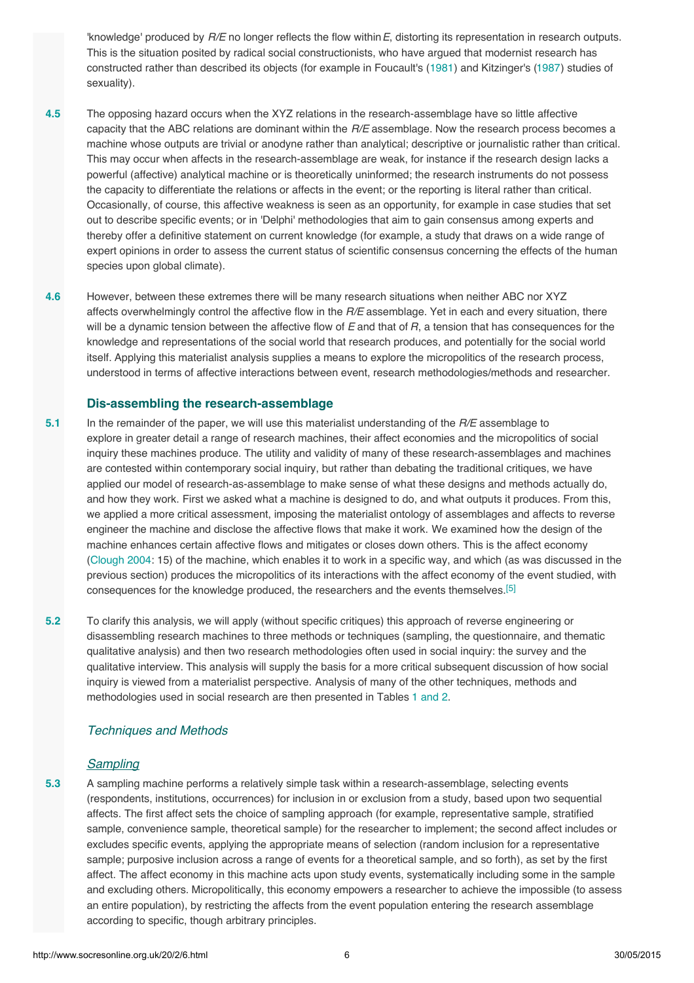'knowledge' produced by  $R/E$  no longer reflects the flow within  $E$ , distorting its representation in research outputs. This is the situation posited by radical social constructionists, who have argued that modernist research has constructed rather than described its objects (for example in Foucault's [\(1981](#page-17-22)) and Kitzinger's [\(1987](#page-17-23)) studies of sexuality).

- **4.5** The opposing hazard occurs when the XYZ relations in the research-assemblage have so little affective capacity that the ABC relations are dominant within the  $R/E$  assemblage. Now the research process becomes a machine whose outputs are trivial or anodyne rather than analytical; descriptive or journalistic rather than critical. This may occur when affects in the research-assemblage are weak, for instance if the research design lacks a powerful (affective) analytical machine or is theoretically uninformed; the research instruments do not possess the capacity to differentiate the relations or affects in the event; or the reporting is literal rather than critical. Occasionally, of course, this affective weakness is seen as an opportunity, for example in case studies that set out to describe specific events; or in 'Delphi' methodologies that aim to gain consensus among experts and thereby offer a definitive statement on current knowledge (for example, a study that draws on a wide range of expert opinions in order to assess the current status of scientific consensus concerning the effects of the human species upon global climate).
- **4.6** However, between these extremes there will be many research situations when neither ABC nor XYZ affects overwhelmingly control the affective flow in the  $R/E$  assemblage. Yet in each and every situation, there will be a dynamic tension between the affective flow of  $E$  and that of  $R$ , a tension that has consequences for the knowledge and representations of the social world that research produces, and potentially for the social world itself. Applying this materialist analysis supplies a means to explore the micropolitics of the research process, understood in terms of affective interactions between event, research methodologies/methods and researcher.

#### **Dis-assembling the research-assemblage**

- **5.1** In the remainder of the paper, we will use this materialist understanding of the  $R/E$  assemblage to explore in greater detail a range of research machines, their affect economies and the micropolitics of social inquiry these machines produce. The utility and validity of many of these research-assemblages and machines are contested within contemporary social inquiry, but rather than debating the traditional critiques, we have applied our model of research-as-assemblage to make sense of what these designs and methods actually do, and how they work. First we asked what a machine is designed to do, and what outputs it produces. From this, we applied a more critical assessment, imposing the materialist ontology of assemblages and affects to reverse engineer the machine and disclose the affective flows that make it work. We examined how the design of the machine enhances certain affective flows and mitigates or closes down others. This is the affect economy [\(Clough](#page-17-18) 2004: 15) of the machine, which enables it to work in a specific way, and which (as was discussed in the previous section) produces the micropolitics of its interactions with the affect economy of the event studied, with consequences for the knowledge produced, the researchers and the events themselves.<sup>[\[5\]](#page-16-11)</sup>
- **5.2** To clarify this analysis, we will apply (without specific critiques) this approach of reverse engineering or disassembling research machines to three methods or techniques (sampling, the questionnaire, and thematic qualitative analysis) and then two research methodologies often used in social inquiry: the survey and the qualitative interview. This analysis will supply the basis for a more critical subsequent discussion of how social inquiry is viewed from a materialist perspective. Analysis of many of the other techniques, methods and methodologies used in social research are then presented in Tables 1 [and](#page-7-0) 2.

## Techniques and Methods

#### **Sampling**

**5.3** A sampling machine performs a relatively simple task within a research-assemblage, selecting events (respondents, institutions, occurrences) for inclusion in or exclusion from a study, based upon two sequential affects. The first affect sets the choice of sampling approach (for example, representative sample, stratified sample, convenience sample, theoretical sample) for the researcher to implement; the second affect includes or excludes specific events, applying the appropriate means of selection (random inclusion for a representative sample; purposive inclusion across a range of events for a theoretical sample, and so forth), as set by the first affect. The affect economy in this machine acts upon study events, systematically including some in the sample and excluding others. Micropolitically, this economy empowers a researcher to achieve the impossible (to assess an entire population), by restricting the affects from the event population entering the research assemblage according to specific, though arbitrary principles.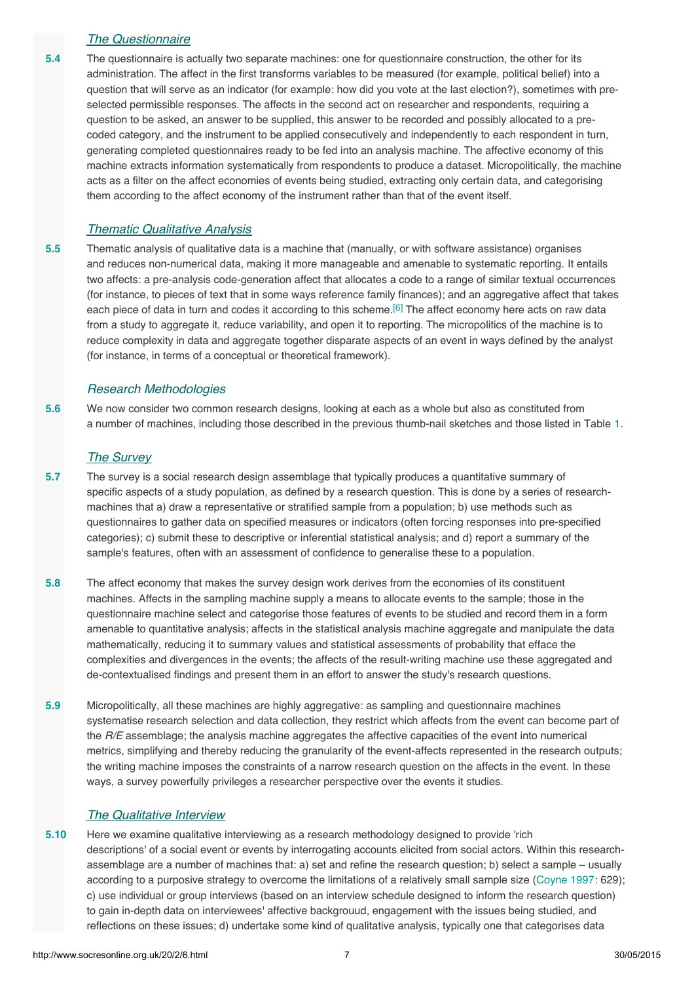## The Questionnaire

**5.4** The questionnaire is actually two separate machines: one for questionnaire construction, the other for its administration. The affect in the first transforms variables to be measured (for example, political belief) into a question that will serve as an indicator (for example: how did you vote at the last election?), sometimes with preselected permissible responses. The affects in the second act on researcher and respondents, requiring a question to be asked, an answer to be supplied, this answer to be recorded and possibly allocated to a precoded category, and the instrument to be applied consecutively and independently to each respondent in turn, generating completed questionnaires ready to be fed into an analysis machine. The affective economy of this machine extracts information systematically from respondents to produce a dataset. Micropolitically, the machine acts as a filter on the affect economies of events being studied, extracting only certain data, and categorising them according to the affect economy of the instrument rather than that of the event itself.

## Thematic Qualitative Analysis

**5.5** Thematic analysis of qualitative data is a machine that (manually, or with software assistance) organises and reduces non-numerical data, making it more manageable and amenable to systematic reporting. It entails two affects: a pre-analysis code-generation affect that allocates a code to a range of similar textual occurrences (for instance, to pieces of text that in some ways reference family finances); and an aggregative affect that takes each piece of data in turn and codes it according to this scheme.<sup>[\[6\]](#page-16-12)</sup> The affect economy here acts on raw data from a study to aggregate it, reduce variability, and open it to reporting. The micropolitics of the machine is to reduce complexity in data and aggregate together disparate aspects of an event in ways defined by the analyst (for instance, in terms of a conceptual or theoretical framework).

## Research Methodologies

**5.6** We now consider two common research designs, looking at each as a whole but also as constituted from a number of machines, including those described in the previous thumb-nail sketches and those listed in Table [1](#page-7-0).

## The Survey

- **5.7** The survey is a social research design assemblage that typically produces a quantitative summary of specific aspects of a study population, as defined by a research question. This is done by a series of researchmachines that a) draw a representative or stratified sample from a population; b) use methods such as questionnaires to gather data on specified measures or indicators (often forcing responses into pre-specified categories); c) submit these to descriptive or inferential statistical analysis; and d) report a summary of the sample's features, often with an assessment of confidence to generalise these to a population.
- **5.8** The affect economy that makes the survey design work derives from the economies of its constituent machines. Affects in the sampling machine supply a means to allocate events to the sample; those in the questionnaire machine select and categorise those features of events to be studied and record them in a form amenable to quantitative analysis; affects in the statistical analysis machine aggregate and manipulate the data mathematically, reducing it to summary values and statistical assessments of probability that efface the complexities and divergences in the events; the affects of the result-writing machine use these aggregated and de-contextualised findings and present them in an effort to answer the study's research questions.
- **5.9** Micropolitically, all these machines are highly aggregative: as sampling and questionnaire machines systematise research selection and data collection, they restrict which affects from the event can become part of the R/E assemblage; the analysis machine aggregates the affective capacities of the event into numerical metrics, simplifying and thereby reducing the granularity of the event-affects represented in the research outputs; the writing machine imposes the constraints of a narrow research question on the affects in the event. In these ways, a survey powerfully privileges a researcher perspective over the events it studies.

## The Qualitative Interview

**5.10** Here we examine qualitative interviewing as a research methodology designed to provide 'rich descriptions' of a social event or events by interrogating accounts elicited from social actors. Within this researchassemblage are a number of machines that: a) set and refine the research question; b) select a sample – usually according to a purposive strategy to overcome the limitations of a relatively small sample size [\(Coyne](#page-17-24) 1997: 629); c) use individual or group interviews (based on an interview schedule designed to inform the research question) to gain in-depth data on interviewees' affective backgrouud, engagement with the issues being studied, and reflections on these issues; d) undertake some kind of qualitative analysis, typically one that categorises data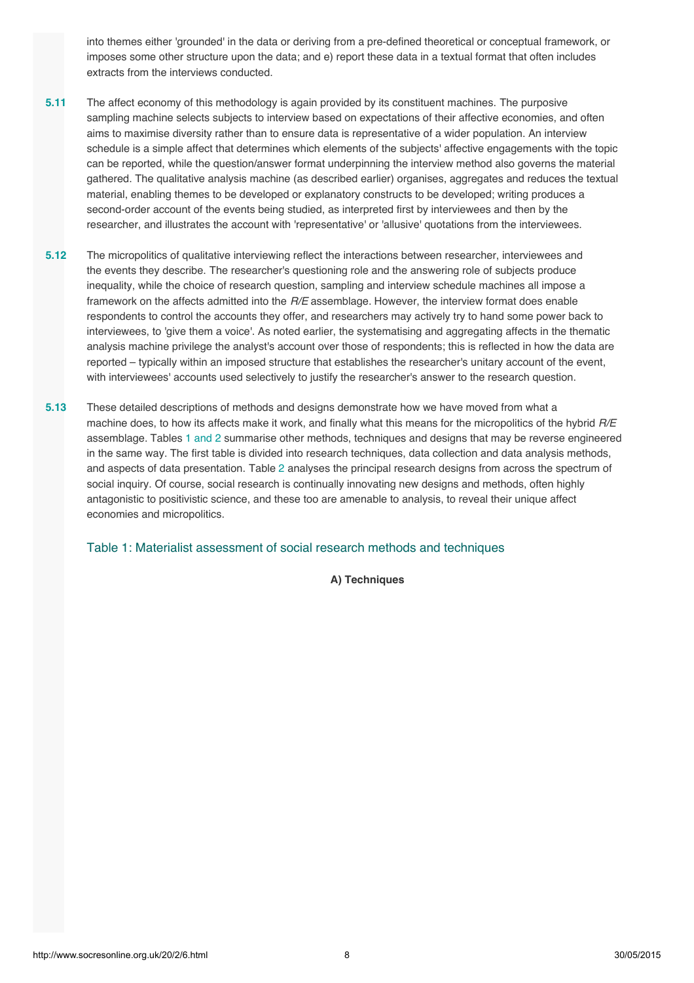into themes either 'grounded' in the data or deriving from a pre-defined theoretical or conceptual framework, or imposes some other structure upon the data; and e) report these data in a textual format that often includes extracts from the interviews conducted.

- **5.11** The affect economy of this methodology is again provided by its constituent machines. The purposive sampling machine selects subjects to interview based on expectations of their affective economies, and often aims to maximise diversity rather than to ensure data is representative of a wider population. An interview schedule is a simple affect that determines which elements of the subjects' affective engagements with the topic can be reported, while the question/answer format underpinning the interview method also governs the material gathered. The qualitative analysis machine (as described earlier) organises, aggregates and reduces the textual material, enabling themes to be developed or explanatory constructs to be developed; writing produces a second-order account of the events being studied, as interpreted first by interviewees and then by the researcher, and illustrates the account with 'representative' or 'allusive' quotations from the interviewees.
- **5.12** The micropolitics of qualitative interviewing reflect the interactions between researcher, interviewees and the events they describe. The researcher's questioning role and the answering role of subjects produce inequality, while the choice of research question, sampling and interview schedule machines all impose a framework on the affects admitted into the R/E assemblage. However, the interview format does enable respondents to control the accounts they offer, and researchers may actively try to hand some power back to interviewees, to 'give them a voice'. As noted earlier, the systematising and aggregating affects in the thematic analysis machine privilege the analyst's account over those of respondents; this is reflected in how the data are reported – typically within an imposed structure that establishes the researcher's unitary account of the event, with interviewees' accounts used selectively to justify the researcher's answer to the research question.
- **5.13** These detailed descriptions of methods and designs demonstrate how we have moved from what a machine does, to how its affects make it work, and finally what this means for the micropolitics of the hybrid  $R/E$ assemblage. Tables 1 [and](#page-7-0) 2 summarise other methods, techniques and designs that may be reverse engineered in the same way. The first table is divided into research techniques, data collection and data analysis methods, and aspects of data presentation. Table [2](#page-11-0) analyses the principal research designs from across the spectrum of social inquiry. Of course, social research is continually innovating new designs and methods, often highly antagonistic to positivistic science, and these too are amenable to analysis, to reveal their unique affect economies and micropolitics.

## <span id="page-7-0"></span>Table 1: Materialist assessment of social research methods and techniques

**A) Techniques**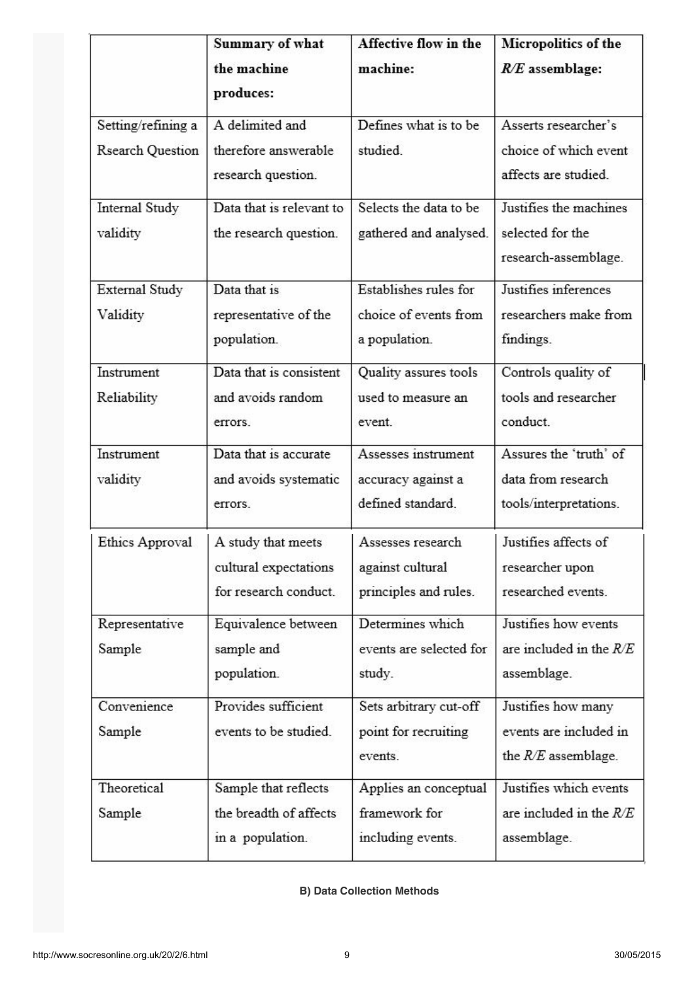|                    | Summary of what<br>the machine | Affective flow in the<br>machine: | Micropolitics of the<br>$R/E$ assemblage: |
|--------------------|--------------------------------|-----------------------------------|-------------------------------------------|
|                    | produces:                      |                                   |                                           |
| Setting/refining a | A delimited and                | Defines what is to be             | Asserts researcher's                      |
| Rsearch Question   | therefore answerable           | studied.                          | choice of which event                     |
|                    | research question.             |                                   | affects are studied.                      |
| Internal Study     | Data that is relevant to       | Selects the data to be            | Justifies the machines                    |
| validity           | the research question.         | gathered and analysed.            | selected for the                          |
|                    |                                |                                   | research-assemblage.                      |
| External Study     | Data that is                   | Establishes rules for             | Justifies inferences                      |
| Validity           | representative of the          | choice of events from             | researchers make from                     |
|                    | population.                    | a population.                     | findings.                                 |
| Instrument         | Data that is consistent        | Quality assures tools             | Controls quality of                       |
| Reliability        | and avoids random              | used to measure an                | tools and researcher                      |
|                    | errors.                        | event.                            | conduct.                                  |
| Instrument         | Data that is accurate          | Assesses instrument               | Assures the 'truth' of                    |
| validity           | and avoids systematic          | accuracy against a                | data from research                        |
|                    | errors.                        | defined standard.                 | tools/interpretations.                    |
| Ethics Approval    | A study that meets             | Assesses research                 | Justifies affects of                      |
|                    | cultural expectations          | against cultural                  | researcher upon                           |
|                    | for research conduct.          | principles and rules.             | researched events.                        |
| Representative     | Equivalence between            | Determines which                  | Justifies how events                      |
| Sample             | sample and                     | events are selected for           | are included in the $R/E$                 |
|                    | population.                    | study.                            | assemblage.                               |
| Convenience        | Provides sufficient            | Sets arbitrary cut-off            | Justifies how many                        |
| Sample             | events to be studied.          | point for recruiting              | events are included in                    |
|                    |                                | events.                           | the $R/E$ assemblage.                     |
| Theoretical        | Sample that reflects           | Applies an conceptual             | Justifies which events                    |
| Sample             | the breadth of affects         | framework for                     | are included in the $R/E$                 |
|                    | in a population.               | including events.                 | assemblage.                               |

**B) Data Collection Methods**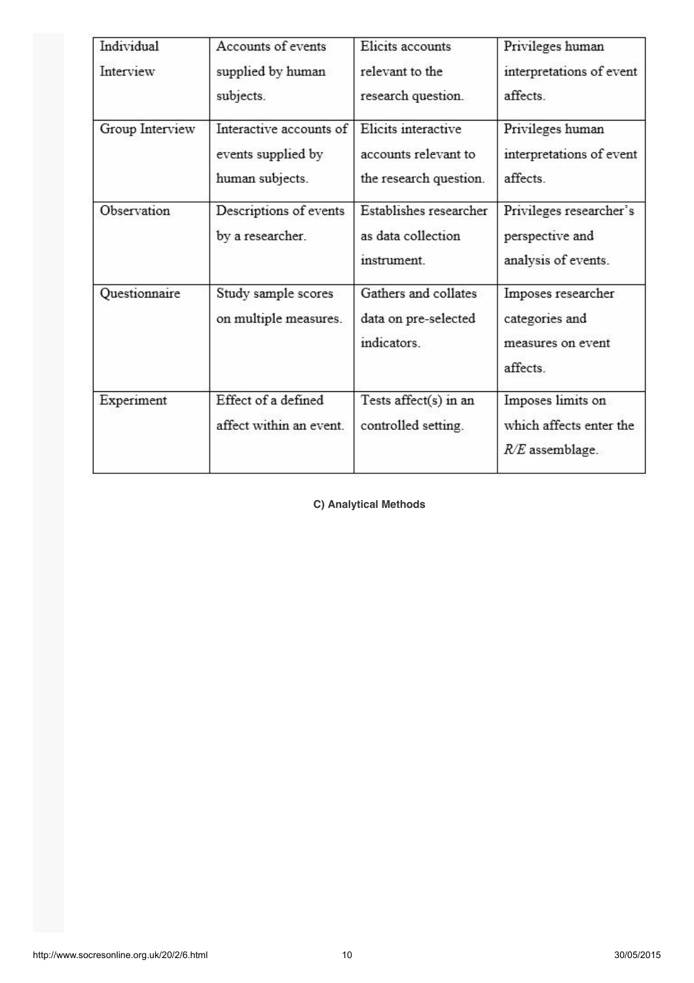| Individual      | Accounts of events      | Elicits accounts       | Privileges human         |
|-----------------|-------------------------|------------------------|--------------------------|
| Interview       | supplied by human       | relevant to the        | interpretations of event |
|                 | subjects.               | research question.     | affects.                 |
| Group Interview | Interactive accounts of | Elicits interactive    | Privileges human         |
|                 | events supplied by      | accounts relevant to   | interpretations of event |
|                 | human subjects.         | the research question. | affects.                 |
| Observation     | Descriptions of events  | Establishes researcher | Privileges researcher's  |
|                 | by a researcher.        | as data collection     | perspective and          |
|                 |                         | instrument.            | analysis of events.      |
| Questionnaire   | Study sample scores     | Gathers and collates   | Imposes researcher       |
|                 | on multiple measures.   | data on pre-selected   | categories and           |
|                 |                         | indicators.            | measures on event        |
|                 |                         |                        | affects.                 |
| Experiment      | Effect of a defined     | Tests affect(s) in an  | Imposes limits on        |
|                 | affect within an event. | controlled setting.    | which affects enter the  |
|                 |                         |                        | $R/E$ assemblage.        |

**C) Analytical Methods**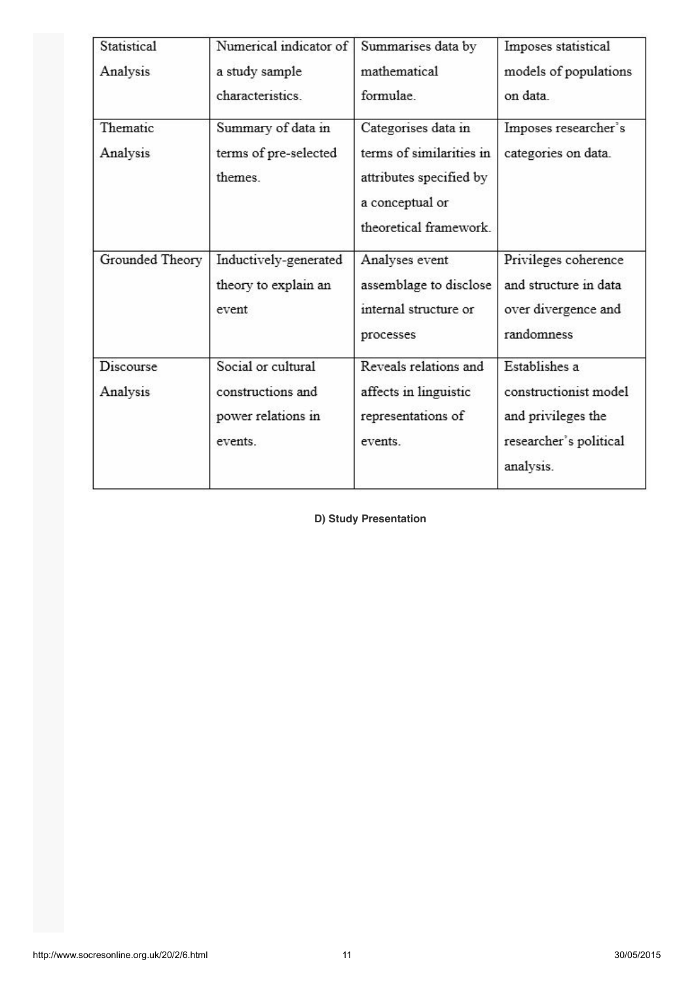| Statistical     | Numerical indicator of | Summarises data by       | Imposes statistical    |
|-----------------|------------------------|--------------------------|------------------------|
| Analysis        | a study sample         | mathematical             | models of populations  |
|                 | characteristics.       | formulae.                | on data.               |
| Thematic        | Summary of data in     | Categorises data in      | Imposes researcher's   |
| Analysis        | terms of pre-selected  | terms of similarities in | categories on data.    |
|                 | themes.                | attributes specified by  |                        |
|                 |                        | a conceptual or          |                        |
|                 |                        | theoretical framework    |                        |
| Grounded Theory | Inductively-generated  | Analyses event           | Privileges coherence   |
|                 | theory to explain an   | assemblage to disclose   | and structure in data  |
|                 | event                  | internal structure or    | over divergence and    |
|                 |                        | processes                | randomness             |
| Discourse       | Social or cultural     | Reveals relations and    | Establishes a          |
| Analysis        | constructions and      | affects in linguistic    | constructionist model  |
|                 | power relations in     | representations of       | and privileges the     |
|                 | events.                | events.                  | researcher's political |
|                 |                        |                          | analysis.              |

**D) Study Presentation**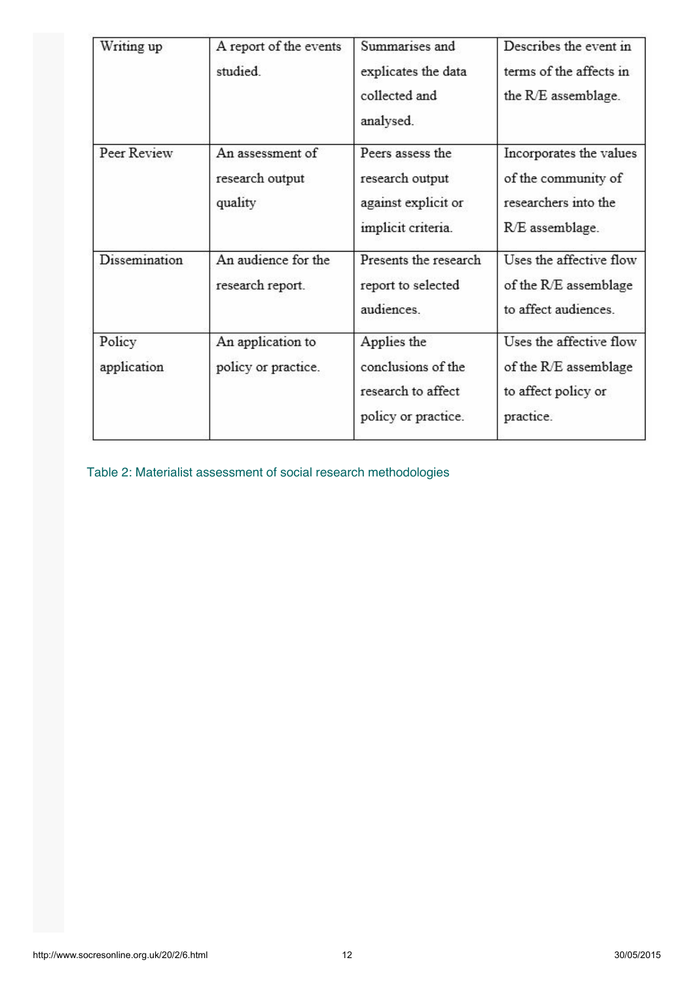| Writing up            | A report of the events<br>studied.             | Summarises and<br>explicates the data<br>collected and<br>analysed.              | Describes the event in<br>terms of the affects in<br>the R/E assemblage.                  |
|-----------------------|------------------------------------------------|----------------------------------------------------------------------------------|-------------------------------------------------------------------------------------------|
| Peer Review           | An assessment of<br>research output<br>quality | Peers assess the<br>research output<br>against explicit or<br>implicit criteria. | Incorporates the values<br>of the community of<br>researchers into the<br>R/E assemblage. |
| Dissemination         | An audience for the<br>research report.        | Presents the research<br>report to selected<br>audiences.                        | Uses the affective flow<br>of the R/E assemblage<br>to affect audiences.                  |
| Policy<br>application | An application to<br>policy or practice.       | Applies the<br>conclusions of the<br>research to affect<br>policy or practice.   | Uses the affective flow<br>of the R/E assemblage<br>to affect policy or<br>practice.      |

<span id="page-11-0"></span>Table 2: Materialist assessment of social research methodologies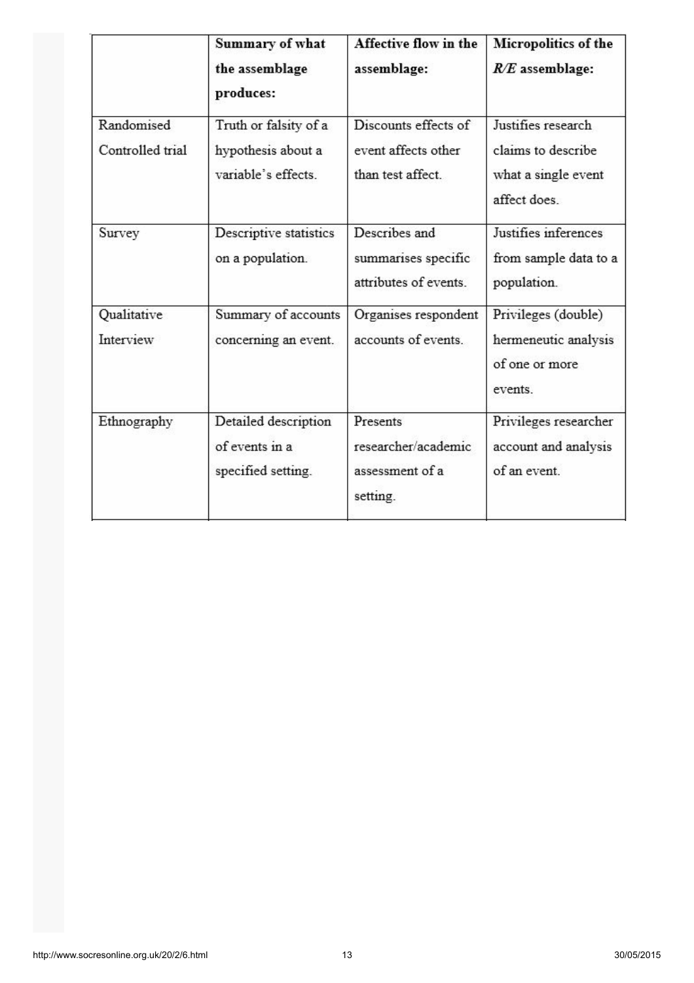|                                | Summary of what<br>the assemblage<br>produces:                     | Affective flow in the<br>assemblage:                             | Micropolitics of the<br>$R/E$ assemblage:                                       |
|--------------------------------|--------------------------------------------------------------------|------------------------------------------------------------------|---------------------------------------------------------------------------------|
| Randomised<br>Controlled trial | Truth or falsity of a<br>hypothesis about a<br>variable's effects. | Discounts effects of<br>event affects other<br>than test affect. | Justifies research<br>claims to describe<br>what a single event<br>affect does. |
| Survey                         | Descriptive statistics<br>on a population.                         | Describes and<br>summarises specific<br>attributes of events.    | Justifies inferences<br>from sample data to a<br>population.                    |
| Qualitative<br>Interview       | Summary of accounts<br>concerning an event.                        | Organises respondent<br>accounts of events.                      | Privileges (double)<br>hermeneutic analysis<br>of one or more<br>events.        |
| Ethnography                    | Detailed description<br>of events in a<br>specified setting.       | Presents<br>researcher/academic<br>assessment of a<br>setting.   | Privileges researcher<br>account and analysis<br>of an event.                   |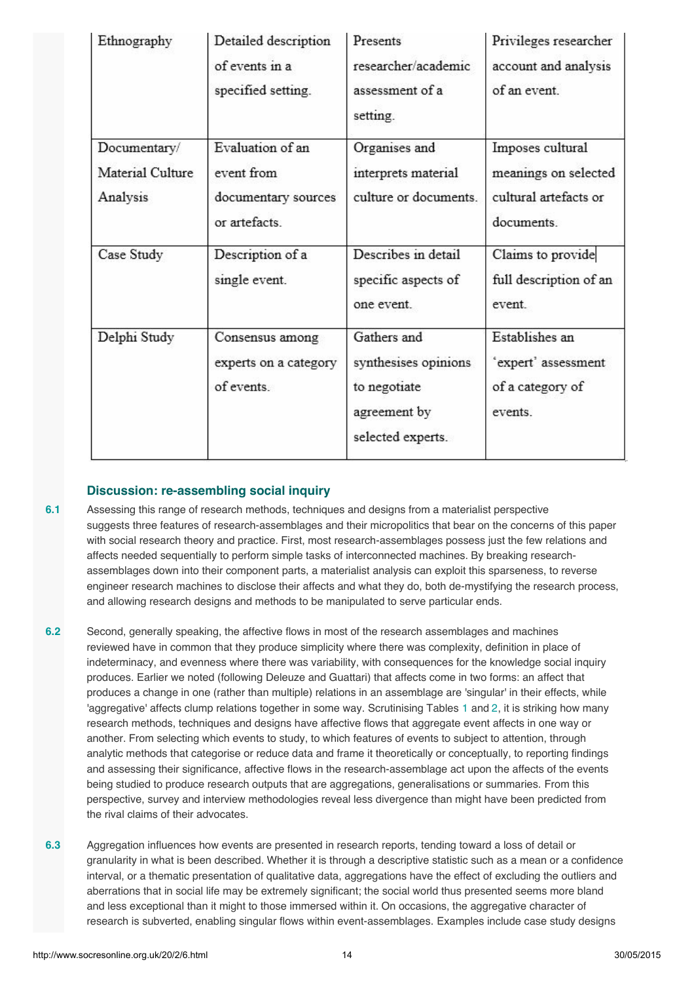| Ethnography                                  | Detailed description<br>of events in a<br>specified setting.           | Presents<br>researcher/academic<br>assessment of a<br>setting.                           | Privileges researcher<br>account and analysis<br>of an event.                   |
|----------------------------------------------|------------------------------------------------------------------------|------------------------------------------------------------------------------------------|---------------------------------------------------------------------------------|
| Documentary/<br>Material Culture<br>Analysis | Evaluation of an<br>event from<br>documentary sources<br>or artefacts. | Organises and<br>interprets material<br>culture or documents.                            | Imposes cultural<br>meanings on selected<br>cultural artefacts or<br>documents. |
| Case Study                                   | Description of a<br>single event.                                      | Describes in detail<br>specific aspects of<br>one event.                                 | Claims to provide<br>full description of an<br>event.                           |
| Delphi Study                                 | Consensus among<br>experts on a category<br>of events.                 | Gathers and<br>synthesises opinions<br>to negotiate<br>agreement by<br>selected experts. | Establishes an<br>expert' assessment<br>of a category of<br>events.             |

## **Discussion: re-assembling social inquiry**

- **6.1** Assessing this range of research methods, techniques and designs from a materialist perspective suggests three features of research-assemblages and their micropolitics that bear on the concerns of this paper with social research theory and practice. First, most research-assemblages possess just the few relations and affects needed sequentially to perform simple tasks of interconnected machines. By breaking researchassemblages down into their component parts, a materialist analysis can exploit this sparseness, to reverse engineer research machines to disclose their affects and what they do, both de-mystifying the research process, and allowing research designs and methods to be manipulated to serve particular ends.
- **6.2** Second, generally speaking, the affective flows in most of the research assemblages and machines reviewed have in common that they produce simplicity where there was complexity, definition in place of indeterminacy, and evenness where there was variability, with consequences for the knowledge social inquiry produces. Earlier we noted (following Deleuze and Guattari) that affects come in two forms: an affect that produces a change in one (rather than multiple) relations in an assemblage are 'singular' in their effects, while 'aggregative' affects clump relations together in some way. Scrutinising Tables [1](#page-7-0) and [2](#page-11-0), it is striking how many research methods, techniques and designs have affective flows that aggregate event affects in one way or another. From selecting which events to study, to which features of events to subject to attention, through analytic methods that categorise or reduce data and frame it theoretically or conceptually, to reporting findings and assessing their significance, affective flows in the research-assemblage act upon the affects of the events being studied to produce research outputs that are aggregations, generalisations or summaries. From this perspective, survey and interview methodologies reveal less divergence than might have been predicted from the rival claims of their advocates.
- **6.3** Aggregation influences how events are presented in research reports, tending toward a loss of detail or granularity in what is been described. Whether it is through a descriptive statistic such as a mean or a confidence interval, or a thematic presentation of qualitative data, aggregations have the effect of excluding the outliers and aberrations that in social life may be extremely significant; the social world thus presented seems more bland and less exceptional than it might to those immersed within it. On occasions, the aggregative character of research is subverted, enabling singular flows within event-assemblages. Examples include case study designs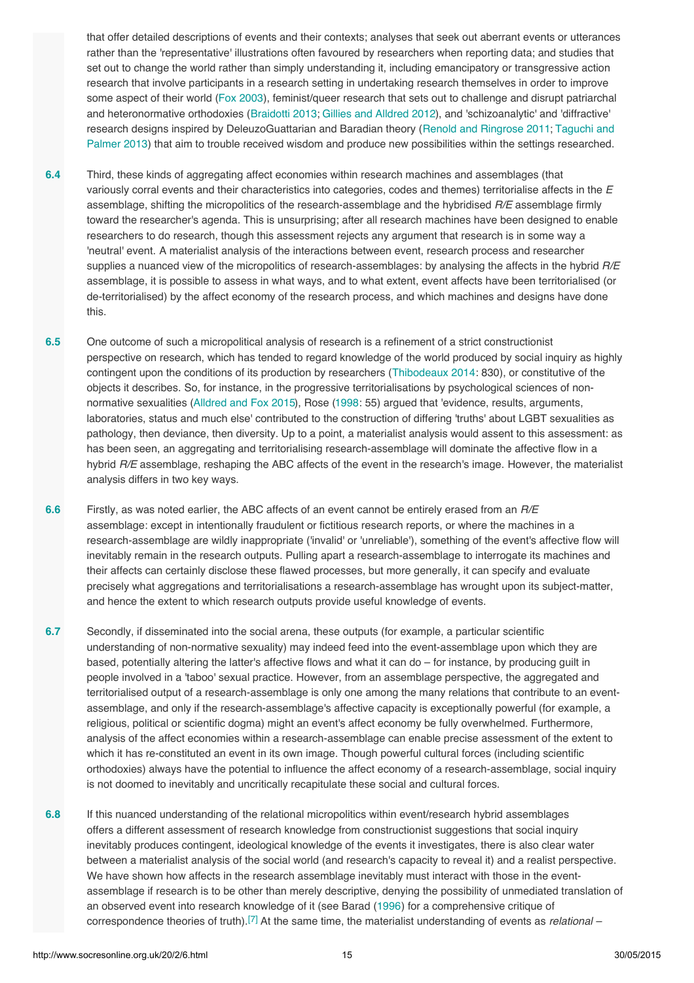that offer detailed descriptions of events and their contexts; analyses that seek out aberrant events or utterances rather than the 'representative' illustrations often favoured by researchers when reporting data; and studies that set out to change the world rather than simply understanding it, including emancipatory or transgressive action research that involve participants in a research setting in undertaking research themselves in order to improve some aspect of their world (Fox [2003](#page-17-25)), feminist/queer research that sets out to challenge and disrupt patriarchal and heteronormative orthodoxies ([Braidotti](#page-16-3) 2013; Gillies and [Alldred](#page-17-21) 2012), and 'schizoanalytic' and 'diffractive' research designs inspired by [DeleuzoGuattarian](#page-18-14) and Baradian theory (Renold and [Ringrose](#page-18-10) 2011; Taguchi and Palmer 2013) that aim to trouble received wisdom and produce new possibilities within the settings researched.

- **6.4** Third, these kinds of aggregating affect economies within research machines and assemblages (that variously corral events and their characteristics into categories, codes and themes) territorialise affects in the E assemblage, shifting the micropolitics of the research-assemblage and the hybridised R/E assemblage firmly toward the researcher's agenda. This is unsurprising; after all research machines have been designed to enable researchers to do research, though this assessment rejects any argument that research is in some way a 'neutral' event. A materialist analysis of the interactions between event, research process and researcher supplies a nuanced view of the micropolitics of research-assemblages: by analysing the affects in the hybrid  $R/E$ assemblage, it is possible to assess in what ways, and to what extent, event affects have been territorialised (or de-territorialised) by the affect economy of the research process, and which machines and designs have done this.
- **6.5** One outcome of such a micropolitical analysis of research is a refinement of a strict constructionist perspective on research, which has tended to regard knowledge of the world produced by social inquiry as highly contingent upon the conditions of its production by researchers ([Thibodeaux](#page-18-2) 2014: 830), or constitutive of the objects it describes. So, for instance, in the progressive territorialisations by psychological sciences of nonnormative sexualities ([Alldred](#page-16-13) and Fox 2015), Rose [\(1998](#page-18-15): 55) argued that 'evidence, results, arguments, laboratories, status and much else' contributed to the construction of differing 'truths' about LGBT sexualities as pathology, then deviance, then diversity. Up to a point, a materialist analysis would assent to this assessment: as has been seen, an aggregating and territorialising research-assemblage will dominate the affective flow in a hybrid  $R/E$  assemblage, reshaping the ABC affects of the event in the research's image. However, the materialist analysis differs in two key ways.
- **6.6** Firstly, as was noted earlier, the ABC affects of an event cannot be entirely erased from an  $R/E$ assemblage: except in intentionally fraudulent or fictitious research reports, or where the machines in a research-assemblage are wildly inappropriate ('invalid' or 'unreliable'), something of the event's affective flow will inevitably remain in the research outputs. Pulling apart a research-assemblage to interrogate its machines and their affects can certainly disclose these flawed processes, but more generally, it can specify and evaluate precisely what aggregations and territorialisations a research-assemblage has wrought upon its subject-matter, and hence the extent to which research outputs provide useful knowledge of events.
- **6.7** Secondly, if disseminated into the social arena, these outputs (for example, a particular scientific understanding of non-normative sexuality) may indeed feed into the event-assemblage upon which they are based, potentially altering the latter's affective flows and what it can do – for instance, by producing guilt in people involved in a 'taboo' sexual practice. However, from an assemblage perspective, the aggregated and territorialised output of a research-assemblage is only one among the many relations that contribute to an eventassemblage, and only if the research-assemblage's affective capacity is exceptionally powerful (for example, a religious, political or scientific dogma) might an event's affect economy be fully overwhelmed. Furthermore, analysis of the affect economies within a research-assemblage can enable precise assessment of the extent to which it has re-constituted an event in its own image. Though powerful cultural forces (including scientific orthodoxies) always have the potential to influence the affect economy of a research-assemblage, social inquiry is not doomed to inevitably and uncritically recapitulate these social and cultural forces.
- **6.8** If this nuanced understanding of the relational micropolitics within event/research hybrid assemblages offers a different assessment of research knowledge from constructionist suggestions that social inquiry inevitably produces contingent, ideological knowledge of the events it investigates, there is also clear water between a materialist analysis of the social world (and research's capacity to reveal it) and a realist perspective. We have shown how affects in the research assemblage inevitably must interact with those in the eventassemblage if research is to be other than merely descriptive, denying the possibility of unmediated translation of an observed event into research knowledge of it (see Barad [\(1996](#page-16-1)) for a comprehensive critique of correspondence theories of truth).<sup>[\[7\]](#page-16-14)</sup> At the same time, the materialist understanding of events as *relational* -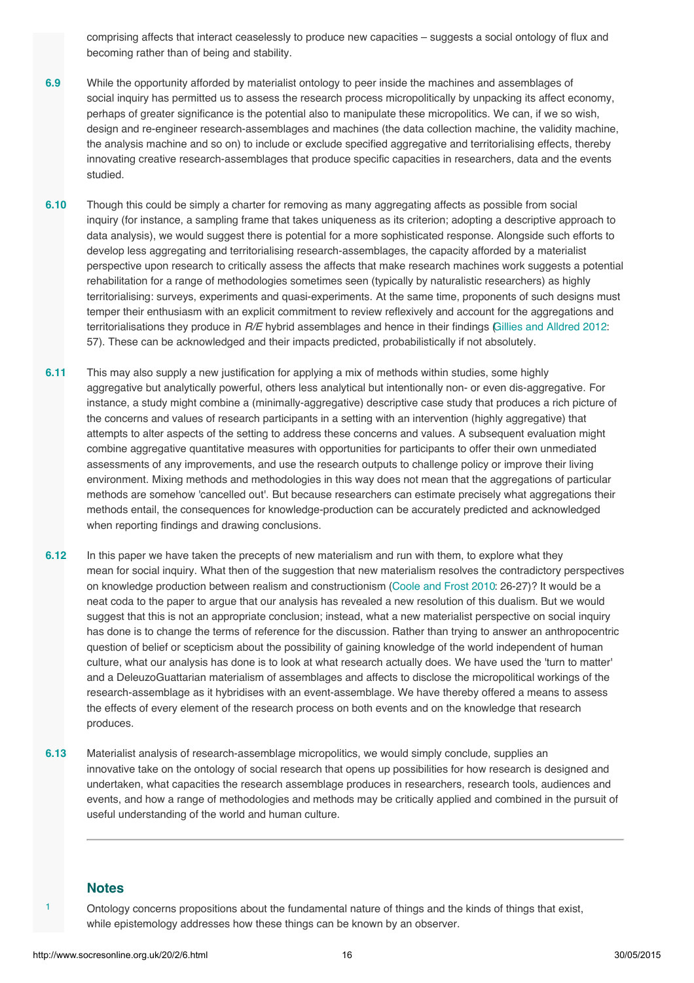comprising affects that interact ceaselessly to produce new capacities – suggests a social ontology of flux and becoming rather than of being and stability.

- **6.9** While the opportunity afforded by materialist ontology to peer inside the machines and assemblages of social inquiry has permitted us to assess the research process micropolitically by unpacking its affect economy, perhaps of greater significance is the potential also to manipulate these micropolitics. We can, if we so wish, design and re-engineer research-assemblages and machines (the data collection machine, the validity machine, the analysis machine and so on) to include or exclude specified aggregative and territorialising effects, thereby innovating creative research-assemblages that produce specific capacities in researchers, data and the events studied.
- **6.10** Though this could be simply a charter for removing as many aggregating affects as possible from social inquiry (for instance, a sampling frame that takes uniqueness as its criterion; adopting a descriptive approach to data analysis), we would suggest there is potential for a more sophisticated response. Alongside such efforts to develop less aggregating and territorialising research-assemblages, the capacity afforded by a materialist perspective upon research to critically assess the affects that make research machines work suggests a potential rehabilitation for a range of methodologies sometimes seen (typically by naturalistic researchers) as highly territorialising: surveys, experiments and quasi-experiments. At the same time, proponents of such designs must temper their enthusiasm with an explicit commitment to review reflexively and account for the aggregations and territorialisations they produce in  $R/E$  hybrid assemblages and hence in their findings (Gillies and [Alldred](#page-17-21) 2012: 57). These can be acknowledged and their impacts predicted, probabilistically if not absolutely.
- **6.11** This may also supply a new justification for applying a mix of methods within studies, some highly aggregative but analytically powerful, others less analytical but intentionally non- or even dis-aggregative. For instance, a study might combine a (minimally-aggregative) descriptive case study that produces a rich picture of the concerns and values of research participants in a setting with an intervention (highly aggregative) that attempts to alter aspects of the setting to address these concerns and values. A subsequent evaluation might combine aggregative quantitative measures with opportunities for participants to offer their own unmediated assessments of any improvements, and use the research outputs to challenge policy or improve their living environment. Mixing methods and methodologies in this way does not mean that the aggregations of particular methods are somehow 'cancelled out'. But because researchers can estimate precisely what aggregations their methods entail, the consequences for knowledge-production can be accurately predicted and acknowledged when reporting findings and drawing conclusions.
- **6.12** In this paper we have taken the precepts of new materialism and run with them, to explore what they mean for social inquiry. What then of the suggestion that new materialism resolves the contradictory perspectives on knowledge production between realism and constructionism [\(Coole](#page-17-4) and Frost 2010: 26-27)? It would be a neat coda to the paper to argue that our analysis has revealed a new resolution of this dualism. But we would suggest that this is not an appropriate conclusion; instead, what a new materialist perspective on social inquiry has done is to change the terms of reference for the discussion. Rather than trying to answer an anthropocentric question of belief or scepticism about the possibility of gaining knowledge of the world independent of human culture, what our analysis has done is to look at what research actually does. We have used the 'turn to matter' and a DeleuzoGuattarian materialism of assemblages and affects to disclose the micropolitical workings of the research-assemblage as it hybridises with an event-assemblage. We have thereby offered a means to assess the effects of every element of the research process on both events and on the knowledge that research produces.
- **6.13** Materialist analysis of research-assemblage micropolitics, we would simply conclude, supplies an innovative take on the ontology of social research that opens up possibilities for how research is designed and undertaken, what capacities the research assemblage produces in researchers, research tools, audiences and events, and how a range of methodologies and methods may be critically applied and combined in the pursuit of useful understanding of the world and human culture.

## <span id="page-15-0"></span>**Notes**

1

Ontology concerns propositions about the fundamental nature of things and the kinds of things that exist, while epistemology addresses how these things can be known by an observer.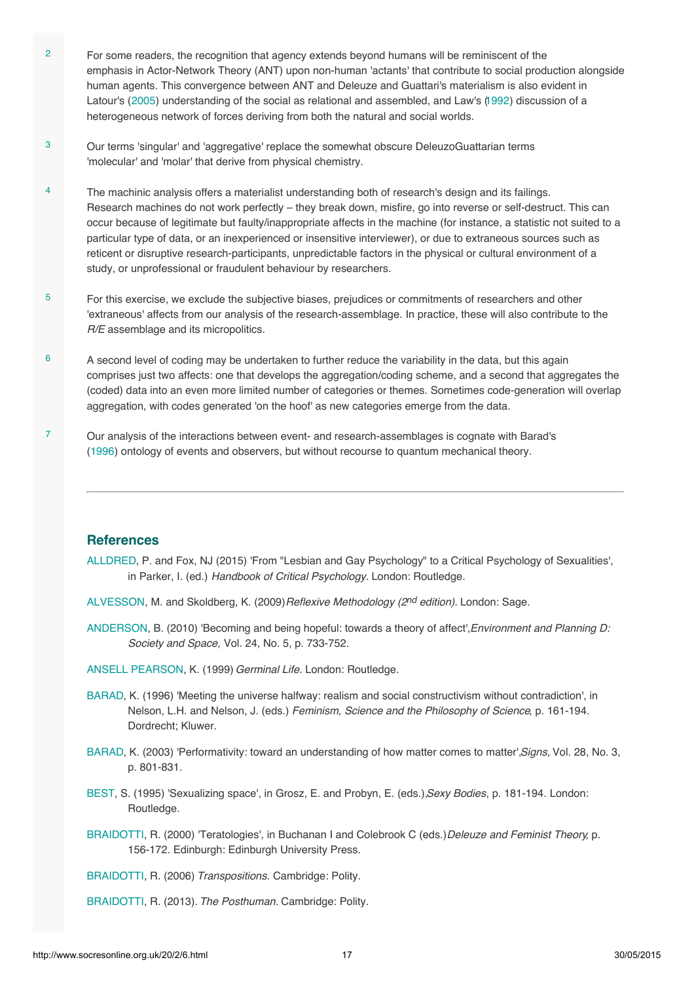- <span id="page-16-5"></span>For some readers, the recognition that agency extends beyond humans will be reminiscent of the emphasis in Actor-Network Theory (ANT) upon non-human 'actants' that contribute to social production alongside human agents. This convergence between ANT and Deleuze and Guattari's materialism is also evident in Latour's ([2005](#page-17-3)) understanding of the social as relational and assembled, and Law's [\(1992](#page-18-8)) discussion of a heterogeneous network of forces deriving from both the natural and social worlds.  $\overline{2}$
- <span id="page-16-9"></span>Our terms 'singular' and 'aggregative' replace the somewhat obscure DeleuzoGuattarian terms 'molecular' and 'molar' that derive from physical chemistry. 3
- <span id="page-16-10"></span>The machinic analysis offers a materialist understanding both of research's design and its failings. Research machines do not work perfectly – they break down, misfire, go into reverse or self-destruct. This can occur because of legitimate but faulty/inappropriate affects in the machine (for instance, a statistic not suited to a particular type of data, or an inexperienced or insensitive interviewer), or due to extraneous sources such as reticent or disruptive research-participants, unpredictable factors in the physical or cultural environment of a study, or unprofessional or fraudulent behaviour by researchers. 4
- <span id="page-16-11"></span>For this exercise, we exclude the subjective biases, prejudices or commitments of researchers and other 'extraneous' affects from our analysis of the research-assemblage. In practice, these will also contribute to the R/E assemblage and its micropolitics. 5
- <span id="page-16-12"></span>A second level of coding may be undertaken to further reduce the variability in the data, but this again comprises just two affects: one that develops the aggregation/coding scheme, and a second that aggregates the (coded) data into an even more limited number of categories or themes. Sometimes code-generation will overlap aggregation, with codes generated 'on the hoof' as new categories emerge from the data. 6
- <span id="page-16-14"></span>Our analysis of the interactions between event- and research-assemblages is cognate with Barad's [\(1996](#page-16-1)) ontology of events and observers, but without recourse to quantum mechanical theory. 7

## **References**

- <span id="page-16-13"></span>ALLDRED, P. and Fox, NJ (2015) 'From "Lesbian and Gay Psychology" to a Critical Psychology of Sexualities', in Parker, I. (ed.) Handbook of Critical Psychology. London: Routledge.
- <span id="page-16-0"></span>ALVESSON, M. and Skoldberg, K. (2009) Reflexive Methodology (2<sup>nd</sup> edition). London: Sage.
- <span id="page-16-8"></span>ANDERSON, B. (2010) 'Becoming and being hopeful: towards a theory of affect',Environment and Planning D: Society and Space, Vol. 24, No. 5, p. 733-752.
- <span id="page-16-2"></span>ANSELL PEARSON, K. (1999) Germinal Life. London: Routledge.
- <span id="page-16-1"></span>BARAD, K. (1996) 'Meeting the universe halfway: realism and social constructivism without contradiction', in Nelson, L.H. and Nelson, J. (eds.) Feminism, Science and the Philosophy of Science, p. 161-194. Dordrecht; Kluwer.
- BARAD, K. (2003) 'Performativity: toward an understanding of how matter comes to matter',Signs, Vol. 28, No. 3, p. 801-831.
- <span id="page-16-6"></span>BEST, S. (1995) 'Sexualizing space', in Grosz, E. and Probyn, E. (eds.),Sexy Bodies, p. 181-194. London: Routledge.
- <span id="page-16-7"></span>BRAIDOTTI, R. (2000) 'Teratologies', in Buchanan I and Colebrook C (eds.) Deleuze and Feminist Theory, p. 156-172. Edinburgh: Edinburgh University Press.
- <span id="page-16-4"></span>BRAIDOTTI, R. (2006) Transpositions. Cambridge: Polity.
- <span id="page-16-3"></span>BRAIDOTTI, R. (2013). The Posthuman. Cambridge: Polity.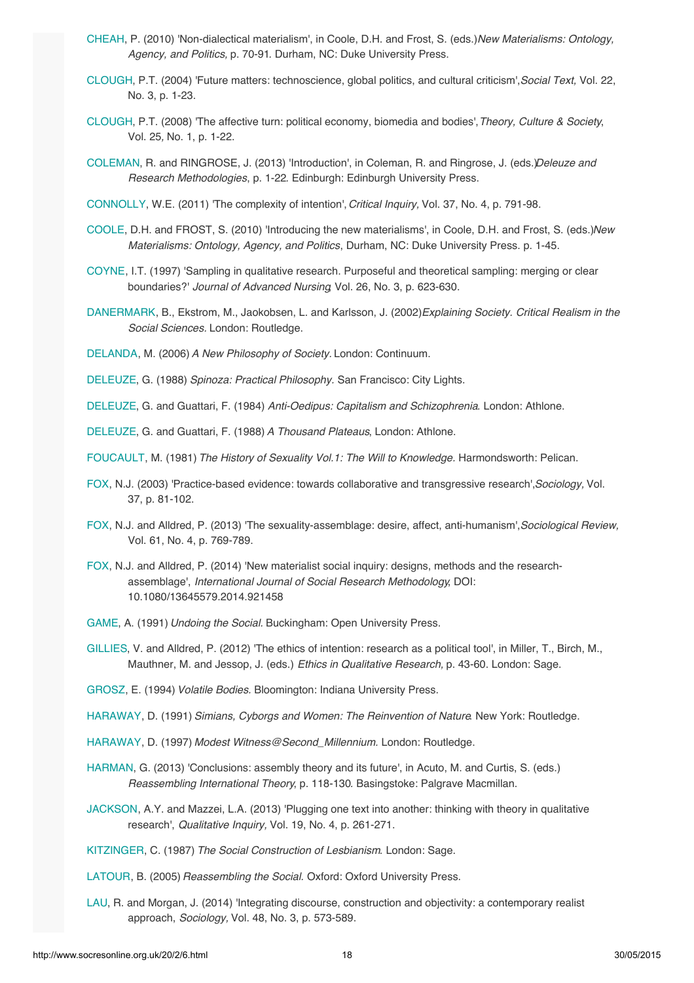- <span id="page-17-5"></span>CHEAH, P. (2010) 'Non-dialectical materialism', in Coole, D.H. and Frost, S. (eds.)New Materialisms: Ontology, Agency, and Politics, p. 70-91. Durham, NC: Duke University Press.
- <span id="page-17-18"></span>CLOUGH, P.T. (2004) 'Future matters: technoscience, global politics, and cultural criticism',Social Text, Vol. 22, No. 3, p. 1-23.
- <span id="page-17-11"></span>CLOUGH, P.T. (2008) 'The affective turn: political economy, biomedia and bodies',Theory, Culture & Society, Vol. 25, No. 1, p. 1-22.
- <span id="page-17-8"></span>COLEMAN, R. and RINGROSE, J. (2013) 'Introduction', in Coleman, R. and Ringrose, J. (eds.)Deleuze and Research Methodologies, p. 1-22. Edinburgh: Edinburgh University Press.

<span id="page-17-12"></span>CONNOLLY, W.E. (2011) 'The complexity of intention',Critical Inquiry, Vol. 37, No. 4, p. 791-98.

- <span id="page-17-4"></span>COOLE, D.H. and FROST, S. (2010) 'Introducing the new materialisms', in Coole, D.H. and Frost, S. (eds.)New Materialisms: Ontology, Agency, and Politics, Durham, NC: Duke University Press. p. 1-45.
- <span id="page-17-24"></span>COYNE, I.T. (1997) 'Sampling in qualitative research. Purposeful and theoretical sampling: merging or clear boundaries?' Journal of Advanced Nursing, Vol. 26, No. 3, p. 623-630.
- <span id="page-17-0"></span>DANERMARK, B., Ekstrom, M., Jaokobsen, L. and Karlsson, J. (2002)Explaining Society. Critical Realism in the Social Sciences. London: Routledge.

<span id="page-17-7"></span>DELANDA, M. (2006) A New Philosophy of Society. London: Continuum.

<span id="page-17-14"></span>DELEUZE, G. (1988) Spinoza: Practical Philosophy. San Francisco: City Lights.

<span id="page-17-16"></span>DELEUZE, G. and Guattari, F. (1984) Anti-Oedipus: Capitalism and Schizophrenia. London: Athlone.

<span id="page-17-15"></span>DELEUZE, G. and Guattari, F. (1988) A Thousand Plateaus, London: Athlone.

<span id="page-17-22"></span>FOUCAULT, M. (1981) The History of Sexuality Vol.1: The Will to Knowledge. Harmondsworth: Pelican.

- <span id="page-17-25"></span>FOX, N.J. (2003) 'Practice-based evidence: towards collaborative and transgressive research',Sociology, Vol. 37, p. 81-102.
- <span id="page-17-9"></span>FOX, N.J. and Alldred, P. (2013) 'The sexuality-assemblage: desire, affect, anti-humanism',Sociological Review, Vol. 61, No. 4, p. 769-789.
- <span id="page-17-19"></span>FOX, N.J. and Alldred, P. (2014) 'New materialist social inquiry: designs, methods and the researchassemblage', International Journal of Social Research Methodology, DOI: 10.1080/13645579.2014.921458
- <span id="page-17-10"></span>GAME, A. (1991) Undoing the Social. Buckingham: Open University Press.
- <span id="page-17-21"></span>GILLIES, V. and Alldred, P. (2012) 'The ethics of intention: research as a political tool', in Miller, T., Birch, M., Mauthner, M. and Jessop, J. (eds.) Ethics in Qualitative Research, p. 43-60. London: Sage.

<span id="page-17-2"></span>GROSZ, E. (1994) Volatile Bodies. Bloomington: Indiana University Press.

<span id="page-17-13"></span>HARAWAY, D. (1991) Simians, Cyborgs and Women: The Reinvention of Nature. New York: Routledge.

<span id="page-17-6"></span>HARAWAY, D. (1997) Modest Witness@Second\_Millennium. London: Routledge.

- <span id="page-17-17"></span>HARMAN, G. (2013) 'Conclusions: assembly theory and its future', in Acuto, M. and Curtis, S. (eds.) Reassembling International Theory, p. 118-130. Basingstoke: Palgrave Macmillan.
- <span id="page-17-20"></span>JACKSON, A.Y. and Mazzei, L.A. (2013) 'Plugging one text into another: thinking with theory in qualitative research', Qualitative Inquiry, Vol. 19, No. 4, p. 261-271.

<span id="page-17-23"></span>KITZINGER, C. (1987) The Social Construction of Lesbianism. London: Sage.

<span id="page-17-3"></span>LATOUR, B. (2005) Reassembling the Social. Oxford: Oxford University Press.

<span id="page-17-1"></span>LAU, R. and Morgan, J. (2014) 'Integrating discourse, construction and objectivity: a contemporary realist approach, Sociology, Vol. 48, No. 3, p. 573-589.